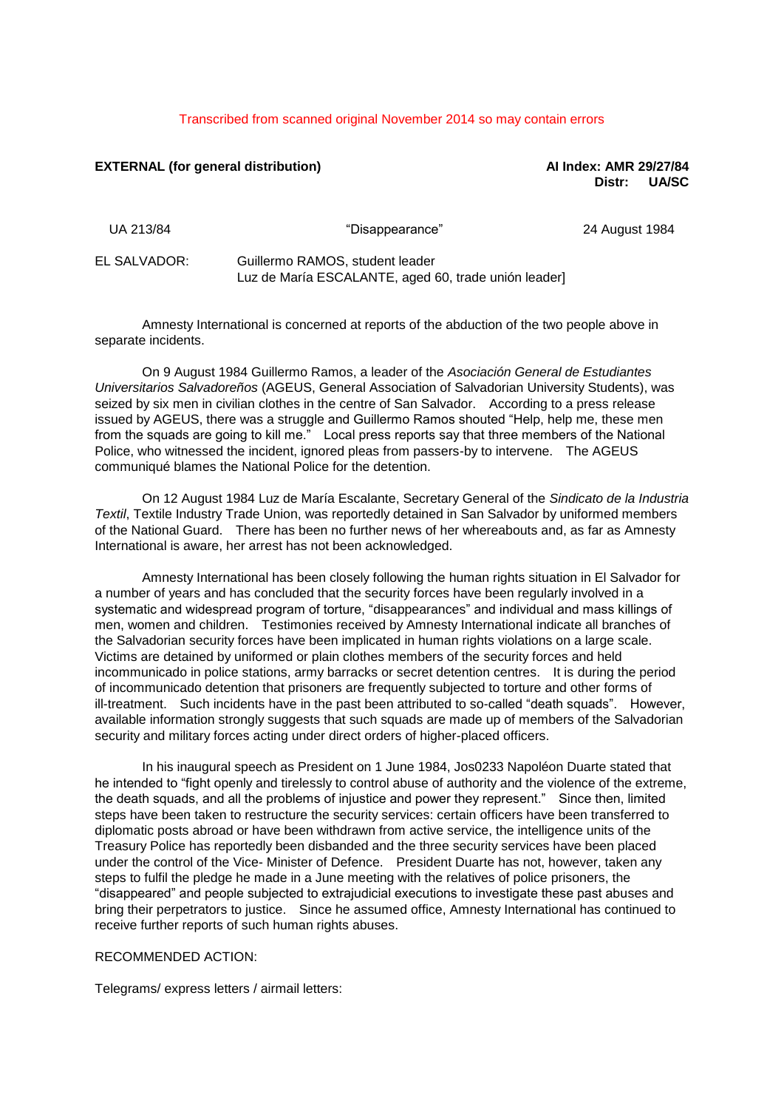## Transcribed from scanned original November 2014 so may contain errors

## **EXTERNAL (for general distribution) AI Index: AMR 29/27/84**

## **Distr: UA/SC**

| UA 213/84    | "Disappearance"                 | 24 August 1984 |
|--------------|---------------------------------|----------------|
| EL SALVADOR: | Guillermo RAMOS, student leader |                |

Luz de María ESCALANTE, aged 60, trade unión leader]

Amnesty International is concerned at reports of the abduction of the two people above in separate incidents.

On 9 August 1984 Guillermo Ramos, a leader of the *Asociación General de Estudiantes Universitarios Salvadoreños* (AGEUS, General Association of Salvadorian University Students), was seized by six men in civilian clothes in the centre of San Salvador. According to a press release issued by AGEUS, there was a struggle and Guillermo Ramos shouted "Help, help me, these men from the squads are going to kill me." Local press reports say that three members of the National Police, who witnessed the incident, ignored pleas from passers-by to intervene. The AGEUS communiqué blames the National Police for the detention.

On 12 August 1984 Luz de María Escalante, Secretary General of the *Sindicato de la Industria Textil*, Textile Industry Trade Union, was reportedly detained in San Salvador by uniformed members of the National Guard. There has been no further news of her whereabouts and, as far as Amnesty International is aware, her arrest has not been acknowledged.

Amnesty International has been closely following the human rights situation in El Salvador for a number of years and has concluded that the security forces have been regularly involved in a systematic and widespread program of torture, "disappearances" and individual and mass killings of men, women and children. Testimonies received by Amnesty International indicate all branches of the Salvadorian security forces have been implicated in human rights violations on a large scale. Victims are detained by uniformed or plain clothes members of the security forces and held incommunicado in police stations, army barracks or secret detention centres. It is during the period of incommunicado detention that prisoners are frequently subjected to torture and other forms of ill-treatment. Such incidents have in the past been attributed to so-called "death squads". However, available information strongly suggests that such squads are made up of members of the Salvadorian security and military forces acting under direct orders of higher-placed officers.

In his inaugural speech as President on 1 June 1984, Jos0233 Napoléon Duarte stated that he intended to "fight openly and tirelessly to control abuse of authority and the violence of the extreme, the death squads, and all the problems of injustice and power they represent." Since then, limited steps have been taken to restructure the security services: certain officers have been transferred to diplomatic posts abroad or have been withdrawn from active service, the intelligence units of the Treasury Police has reportedly been disbanded and the three security services have been placed under the control of the Vice- Minister of Defence. President Duarte has not, however, taken any steps to fulfil the pledge he made in a June meeting with the relatives of police prisoners, the "disappeared" and people subjected to extrajudicial executions to investigate these past abuses and bring their perpetrators to justice. Since he assumed office, Amnesty International has continued to receive further reports of such human rights abuses.

## RECOMMENDED ACTION:

Telegrams/ express letters / airmail letters: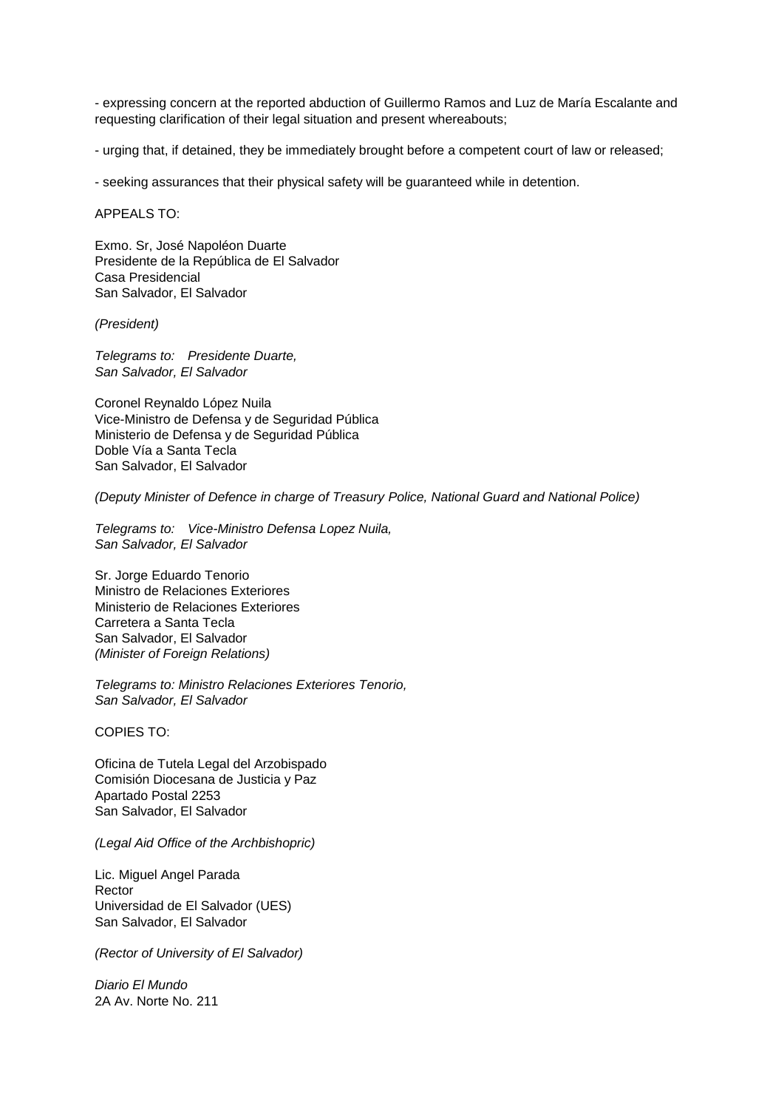- expressing concern at the reported abduction of Guillermo Ramos and Luz de María Escalante and requesting clarification of their legal situation and present whereabouts;

- urging that, if detained, they be immediately brought before a competent court of law or released;

- seeking assurances that their physical safety will be guaranteed while in detention.

APPEALS TO:

Exmo. Sr, José Napoléon Duarte Presidente de la República de El Salvador Casa Presidencial San Salvador, El Salvador

*(President)*

*Telegrams to: Presidente Duarte, San Salvador, El Salvador*

Coronel Reynaldo López Nuila Vice-Ministro de Defensa y de Seguridad Pública Ministerio de Defensa y de Seguridad Pública Doble Vía a Santa Tecla San Salvador, El Salvador

*(Deputy Minister of Defence in charge of Treasury Police, National Guard and National Police)*

*Telegrams to: Vice-Ministro Defensa Lopez Nuila, San Salvador, El Salvador*

Sr. Jorge Eduardo Tenorio Ministro de Relaciones Exteriores Ministerio de Relaciones Exteriores Carretera a Santa Tecla San Salvador, El Salvador *(Minister of Foreign Relations)*

*Telegrams to: Ministro Relaciones Exteriores Tenorio, San Salvador, El Salvador*

COPIES TO:

Oficina de Tutela Legal del Arzobispado Comisión Diocesana de Justicia y Paz Apartado Postal 2253 San Salvador, El Salvador

*(Legal Aid Office of the Archbishopric)*

Lic. Miguel Angel Parada Rector Universidad de El Salvador (UES) San Salvador, El Salvador

*(Rector of University of El Salvador)*

*Diario El Mundo* 2A Av. Norte No. 211